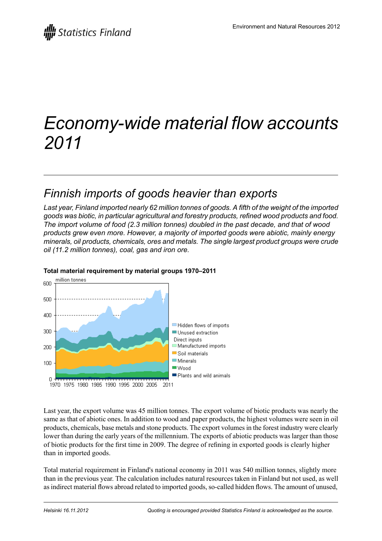# *Economy-wide material flow accounts 2011*

## *Finnish imports of goods heavier than exports*

Last year, Finland imported nearly 62 million tonnes of goods. A fifth of the weight of the imported *goods was biotic, in particular agricultural and forestry products, refined wood products and food. The import volume of food (2.3 million tonnes) doubled in the past decade, and that of wood products grew even more. However, a majority of imported goods were abiotic, mainly energy minerals, oil products, chemicals, ores and metals. The single largest product groups were crude oil (11.2 million tonnes), coal, gas and iron ore.*



### **Total material requirement by material groups 1970–2011**

Last year, the export volume was 45 million tonnes. The export volume of biotic products was nearly the same as that of abiotic ones. In addition to wood and paper products, the highest volumes were seen in oil products, chemicals, base metals and stone products. The export volumesin the forest industry were clearly lower than during the early years of the millennium. The exports of abiotic products was larger than those of biotic products for the first time in 2009. The degree of refining in exported goods is clearly higher than in imported goods.

Total material requirement in Finland's national economy in 2011 was 540 million tonnes, slightly more than in the previous year. The calculation includes natural resources taken in Finland but not used, as well as indirect material flows abroad related to imported goods, so-called hidden flows. The amount of unused,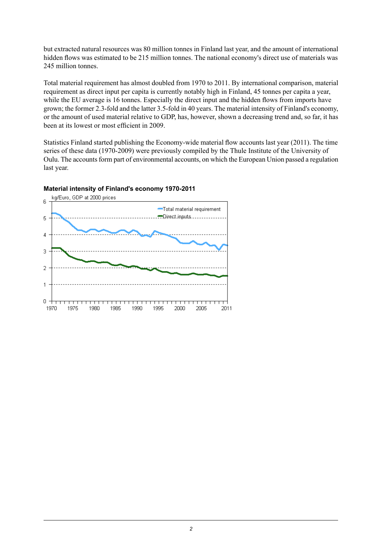but extracted natural resources was 80 million tonnes in Finland last year, and the amount of international hidden flows was estimated to be 215 million tonnes. The national economy's direct use of materials was 245 million tonnes.

Total material requirement has almost doubled from 1970 to 2011. By international comparison, material requirement as direct input per capita is currently notably high in Finland, 45 tonnes per capita a year, while the EU average is 16 tonnes. Especially the direct input and the hidden flows from imports have grown; the former 2.3-fold and the latter 3.5-fold in 40 years. The material intensity of Finland's economy, or the amount of used material relative to GDP, has, however, shown a decreasing trend and, so far, it has been at its lowest or most efficient in 2009.

Statistics Finland started publishing the Economy-wide material flow accounts last year (2011). The time series of these data (1970-2009) were previously compiled by the Thule Institute of the University of Oulu. The accounts form part of environmental accounts, on which the European Union passed a regulation last year.



#### **Material intensity of Finland's economy 1970-2011**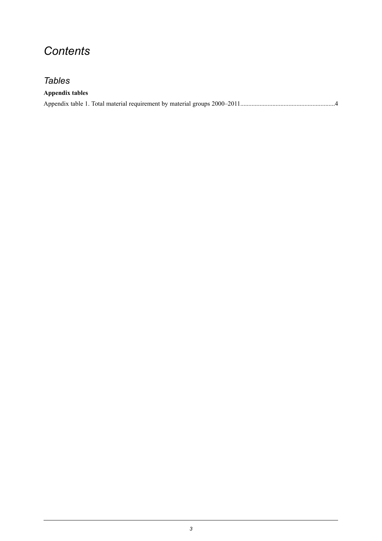## *Contents*

## *Tables*

| <b>Appendix tables</b> |  |
|------------------------|--|
|                        |  |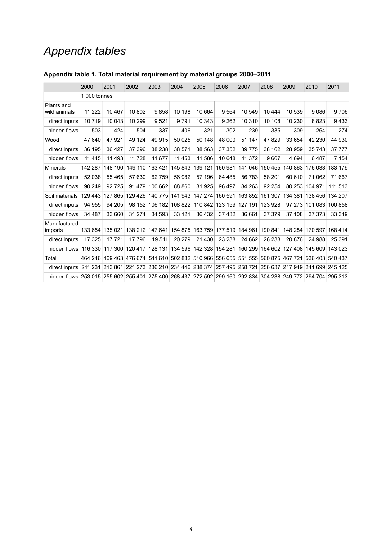## *Appendix tables*

|                                                                                                              | 2000         | 2001    | 2002    | 2003            | 2004    | 2005                            | 2006            | 2007                                    | 2008    | 2009            | 2010    | 2011     |  |  |
|--------------------------------------------------------------------------------------------------------------|--------------|---------|---------|-----------------|---------|---------------------------------|-----------------|-----------------------------------------|---------|-----------------|---------|----------|--|--|
|                                                                                                              | 1 000 tonnes |         |         |                 |         |                                 |                 |                                         |         |                 |         |          |  |  |
| Plants and<br>wild animals                                                                                   | 11 222       | 10467   | 10 802  | 9858            | 10 198  | 10 664                          | 9 5 6 4         | 10 549                                  | 10 4 44 | 10 539          | 9086    | 9706     |  |  |
| direct inputs                                                                                                | 10719        | 10 043  | 10 299  | 9521            | 9791    | 10 343                          | 9 2 6 2         | 10 310                                  | 10 108  | 10 230          | 8823    | 9433     |  |  |
| hidden flows                                                                                                 | 503          | 424     | 504     | 337             | 406     | 321                             | 302             | 239                                     | 335     | 309             | 264     | 274      |  |  |
| Wood                                                                                                         | 47 640       | 47921   | 49 124  | 49 915          | 50 025  | 50 148                          | 48 000          | 51 147                                  | 47829   | 33 654          | 42 230  | 44 930   |  |  |
| direct inputs                                                                                                | 36 195       | 36 427  | 37 396  | 38 238          | 38 571  | 38 563                          | 37 352          | 39 7 7 5                                | 38 162  | 28 959          | 35 743  | 37 777   |  |  |
| hidden flows                                                                                                 | 11 4 45      | 11 493  | 11 728  | 11 677          | 11 453  | 11 586                          | 10 648          | 11 372                                  | 9667    | 4 6 9 4         | 6487    | 7 1 5 4  |  |  |
| <b>Minerals</b>                                                                                              | 142 287      | 148 190 | 149 110 | 163 421         | 145 843 | 139 121                         | 160 981         | 141 046                                 | 150 455 | 140 863         | 176 033 | 183 179  |  |  |
| direct inputs                                                                                                | 52 038       | 55 4 65 | 57 630  | 62 759          | 56 982  | 57 196                          | 64 485          | 56 783                                  | 58 201  | 60 610          | 71 062  | 71 667   |  |  |
| hidden flows                                                                                                 | 90 249       | 92725   | 91 479  | 100 662         | 88 860  | 81925                           | 96 497          | 84 263                                  | 92 254  | 80 253          | 104 971 | 111 513  |  |  |
| Soil materials                                                                                               | 129 443      | 127 865 | 129 426 | 140 775         | 141 943 | 147 274                         | 160 591         | 163852                                  | 161 307 | 134 381         | 138 456 | 134 207  |  |  |
| direct inputs                                                                                                | 94 955       | 94 205  | 98 152  | 106 182         | 108 822 | 110 842                         | 123 159         | 127 191                                 | 123 928 | 97 273          | 101 083 | 100 858  |  |  |
| hidden flows                                                                                                 | 34 487       | 33 660  | 31 274  | 34 593          | 33 121  | 36 432                          | 37 432          | 36 661                                  | 37 379  | 37 108          | 37 37 3 | 33 349   |  |  |
| Manufactured<br>imports                                                                                      | 133 654      | 135 021 |         | 138 212 147 641 |         | 154 875 163 759                 | 177 519 184 961 |                                         | 190 841 | 148 284         | 170 597 | 168 414  |  |  |
| direct inputs                                                                                                | 17 3 25      | 17721   | 17 796  | 19511           | 20 279  | 21 4 30                         | 23 238          | 24 662                                  | 26 238  | 20 876          | 24 988  | 25 3 9 1 |  |  |
| hidden flows                                                                                                 | 116 330      | 117 300 | 120 417 | 128 131         | 134 596 | 142 328                         | 154 281         | 160 299                                 | 164 602 | 127 408         | 145 609 | 143 023  |  |  |
| Total                                                                                                        | 464 246      | 469463  | 476 674 | 511 610         |         |                                 |                 | 502 882 510 966 556 655 551 555 560 875 |         | 467 721         | 536 403 | 540 437  |  |  |
| direct inputs 211 231                                                                                        |              | 213 861 | 221 273 | 236 210         |         | 234 446 238 374 257 495 258 721 |                 |                                         | 256 637 | 217 949 241 699 |         | 245 125  |  |  |
| hidden flows 253 015 255 602 255 401 275 400 268 437 272 592 299 160 292 834 304 238 249 772 294 704 295 313 |              |         |         |                 |         |                                 |                 |                                         |         |                 |         |          |  |  |

### <span id="page-3-0"></span>**Appendix table 1. Total material requirement by material groups 2000–2011**